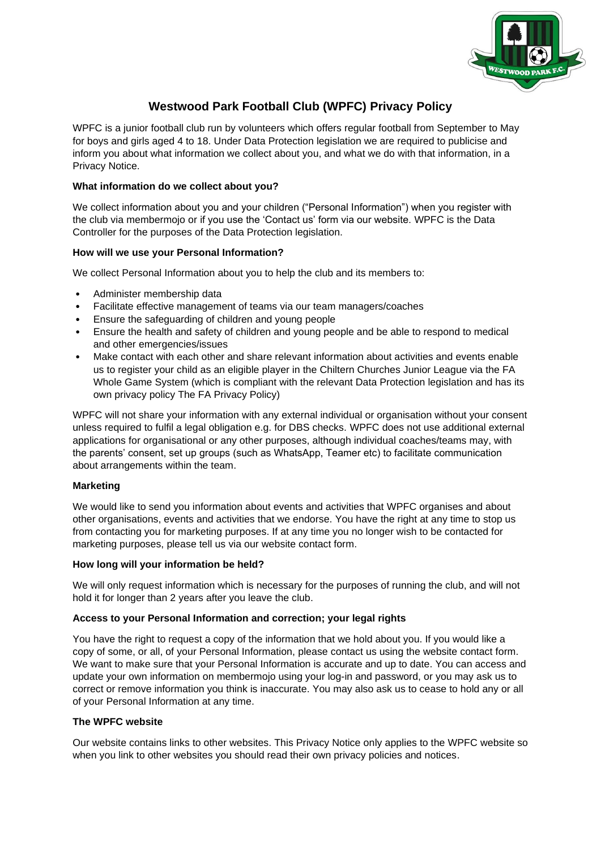

# **Westwood Park Football Club (WPFC) Privacy Policy**

WPFC is a junior football club run by volunteers which offers regular football from September to May for boys and girls aged 4 to 18. Under Data Protection legislation we are required to publicise and inform you about what information we collect about you, and what we do with that information, in a Privacy Notice.

# **What information do we collect about you?**

We collect information about you and your children ("Personal Information") when you register with the club via membermojo or if you use the 'Contact us' form via our website. WPFC is the Data Controller for the purposes of the Data Protection legislation.

# **How will we use your Personal Information?**

We collect Personal Information about you to help the club and its members to:

- Administer membership data
- Facilitate effective management of teams via our team managers/coaches
- Ensure the safeguarding of children and young people
- Ensure the health and safety of children and young people and be able to respond to medical and other emergencies/issues
- Make contact with each other and share relevant information about activities and events enable us to register your child as an eligible player in the Chiltern Churches Junior League via the FA Whole Game System (which is compliant with the relevant Data Protection legislation and has its own privacy policy The FA Privacy Policy)

WPFC will not share your information with any external individual or organisation without your consent unless required to fulfil a legal obligation e.g. for DBS checks. WPFC does not use additional external applications for organisational or any other purposes, although individual coaches/teams may, with the parents' consent, set up groups (such as WhatsApp, Teamer etc) to facilitate communication about arrangements within the team.

# **Marketing**

We would like to send you information about events and activities that WPFC organises and about other organisations, events and activities that we endorse. You have the right at any time to stop us from contacting you for marketing purposes. If at any time you no longer wish to be contacted for marketing purposes, please tell us via our website contact form.

# **How long will your information be held?**

We will only request information which is necessary for the purposes of running the club, and will not hold it for longer than 2 years after you leave the club.

# **Access to your Personal Information and correction; your legal rights**

You have the right to request a copy of the information that we hold about you. If you would like a copy of some, or all, of your Personal Information, please contact us using the website contact form. We want to make sure that your Personal Information is accurate and up to date. You can access and update your own information on membermojo using your log-in and password, or you may ask us to correct or remove information you think is inaccurate. You may also ask us to cease to hold any or all of your Personal Information at any time.

# **The WPFC website**

Our website contains links to other websites. This Privacy Notice only applies to the WPFC website so when you link to other websites you should read their own privacy policies and notices.